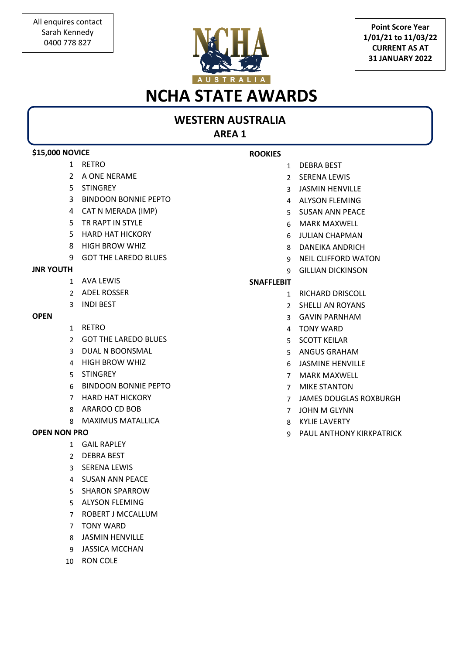

**Point Score Year 1/01/21 to 11/03/22 CURRENT AS AT 31 JANUARY 2022**

## **NCHA STATE AWARDS**

## **WESTERN AUSTRALIA**

**AREA 1**

| <b>\$15,000 NOVICE</b> |                             | <b>ROOKIES</b>    |                               |
|------------------------|-----------------------------|-------------------|-------------------------------|
| $\mathbf{1}$           | RETRO                       | $\mathbf{1}$      | <b>DEBRA BEST</b>             |
| $\mathcal{L}$          | A ONE NERAME                | $\mathcal{P}$     | <b>SERENA LEWIS</b>           |
| 5.                     | <b>STINGREY</b>             | 3                 | <b>JASMIN HENVILLE</b>        |
| 3                      | <b>BINDOON BONNIE PEPTO</b> | 4                 | <b>ALYSON FLEMING</b>         |
| 4                      | CAT N MERADA (IMP)          | 5.                | <b>SUSAN ANN PEACE</b>        |
| 5.                     | TR RAPT IN STYLE            | 6                 | <b>MARK MAXWELL</b>           |
| 5                      | <b>HARD HAT HICKORY</b>     | 6                 | <b>JULIAN CHAPMAN</b>         |
| 8                      | <b>HIGH BROW WHIZ</b>       | 8                 | <b>DANEIKA ANDRICH</b>        |
| 9                      | <b>GOT THE LAREDO BLUES</b> | 9                 | <b>NEIL CLIFFORD WATON</b>    |
| <b>JNR YOUTH</b>       |                             | q                 | <b>GILLIAN DICKINSON</b>      |
| 1                      | AVA LEWIS                   | <b>SNAFFLEBIT</b> |                               |
| $\mathcal{P}$          | <b>ADEL ROSSER</b>          | $\mathbf{1}$      | RICHARD DRISCOLL              |
| 3                      | <b>INDI BEST</b>            | $\mathcal{P}$     | SHELLI AN ROYANS              |
| <b>OPEN</b>            |                             | 3                 | <b>GAVIN PARNHAM</b>          |
| $\mathbf{1}$           | <b>RETRO</b>                | 4                 | <b>TONY WARD</b>              |
| $\mathcal{P}$          | <b>GOT THE LAREDO BLUES</b> | 5.                | <b>SCOTT KEILAR</b>           |
| 3                      | <b>DUAL N BOONSMAL</b>      | 5.                | <b>ANGUS GRAHAM</b>           |
| 4                      | <b>HIGH BROW WHIZ</b>       | 6                 | <b>JASMINE HENVILLE</b>       |
| 5                      | <b>STINGREY</b>             | $\overline{7}$    | <b>MARK MAXWELL</b>           |
| 6                      | <b>BINDOON BONNIE PEPTO</b> | $\overline{7}$    | <b>MIKE STANTON</b>           |
| $\overline{7}$         | <b>HARD HAT HICKORY</b>     | $\overline{7}$    | <b>JAMES DOUGLAS ROXBURGH</b> |
| 8                      | ARAROO CD BOB               | $\overline{7}$    | <b>JOHN M GLYNN</b>           |
| 8                      | <b>MAXIMUS MATALLICA</b>    | 8                 | <b>KYLIE LAVERTY</b>          |
| <b>OPEN NON PRO</b>    |                             | q                 | PAUL ANTHONY KIRKPATRICK      |
|                        | 1 GAIL RAPLEY               |                   |                               |
| $\mathcal{P}$          | <b>DEBRA BEST</b>           |                   |                               |
| 3                      | <b>SERENA LEWIS</b>         |                   |                               |
| 4                      | <b>SUSAN ANN PEACE</b>      |                   |                               |
| 5                      | <b>SHARON SPARROW</b>       |                   |                               |
| $\sim$                 | ALVCONLELEMAINIC            |                   |                               |

- ALYSON FLEMING
- ROBERT J MCCALLUM
- TONY WARD
- JASMIN HENVILLE
- JASSICA MCCHAN
- RON COLE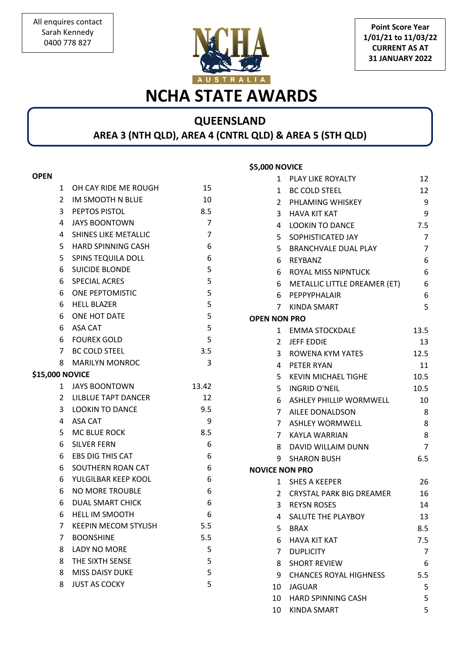**Point Score Year 1/01/21 to 11/03/22 CURRENT AS AT 31 JANUARY 2022**

# **NCHA STATE AWARDS**

#### **QUEENSLAND AREA 3 (NTH QLD), AREA 4 (CNTRL QLD) & AREA 5 (STH QLD)**

**\$5,000 NOVICE** 

#### **OPEN**

| 1                      | OH CAY RIDE ME ROUGH        | 15             |
|------------------------|-----------------------------|----------------|
| $\mathbf{2}$           | IM SMOOTH N BLUE            | 10             |
|                        | 3 PEPTOS PISTOL             | 8.5            |
| 4                      | <b>JAYS BOONTOWN</b>        | $\overline{7}$ |
| 4                      | <b>SHINES LIKE METALLIC</b> | $\overline{7}$ |
| 5                      | <b>HARD SPINNING CASH</b>   | 6              |
| 5                      | <b>SPINS TEQUILA DOLL</b>   | 6              |
| 6                      | <b>SUICIDE BLONDE</b>       | 5              |
| 6                      | <b>SPECIAL ACRES</b>        | 5              |
| 6                      | <b>ONE PEPTOMISTIC</b>      | 5              |
| 6                      | <b>HELL BLAZER</b>          | 5              |
| 6                      | ONE HOT DATE                | 5              |
|                        | 6 ASA CAT                   | 5              |
|                        | 6 FOUREX GOLD               | 5              |
|                        | 7 BC COLD STEEL             | 3.5            |
| 8                      | <b>MARILYN MONROC</b>       | 3              |
| <b>\$15,000 NOVICE</b> |                             |                |
| $\mathbf{1}$           | <b>JAYS BOONTOWN</b>        | 13.42          |
|                        | 2 LILBLUE TAPT DANCER       | 12             |
| $\mathbf{3}$           | <b>LOOKIN TO DANCE</b>      | 9.5            |
| 4                      | ASA CAT                     | 9              |
|                        | 5 MC BLUE ROCK              | 8.5            |
| 6                      | <b>SILVER FERN</b>          | 6              |
| 6                      | <b>EBS DIG THIS CAT</b>     | 6              |
| 6                      | SOUTHERN ROAN CAT           | 6              |
| 6                      | YULGILBAR KEEP KOOL         | 6              |
| 6                      | <b>NO MORE TROUBLE</b>      | 6              |
| 6                      | <b>DUAL SMART CHICK</b>     | 6              |
| 6                      | <b>HELL IM SMOOTH</b>       | 6              |
| $7^{\circ}$            | <b>KEEPIN MECOM STYLISH</b> | 5.5            |
| 7                      | <b>BOONSHINE</b>            | 5.5            |
| 8                      | <b>LADY NO MORE</b>         | 5              |
| 8                      | THE SIXTH SENSE             | 5              |
| 8                      | <b>MISS DAISY DUKE</b>      | 5              |
| 8                      | <b>JUST AS COCKY</b>        | 5              |
|                        |                             |                |

| 1                     | PLAY LIKE ROYALTY              | 12   |
|-----------------------|--------------------------------|------|
| $\mathbf{1}$          | <b>BC COLD STEEL</b>           | 12   |
|                       | 2 PHLAMING WHISKEY             | 9    |
| 3 <sup>1</sup>        | <b>HAVA KIT KAT</b>            | 9    |
| 4                     | <b>LOOKIN TO DANCE</b>         | 7.5  |
| 5                     | SOPHISTICATED JAY              | 7    |
|                       | 5 BRANCHVALE DUAL PLAY         | 7    |
|                       | 6 REYBANZ                      | 6    |
|                       | 6 ROYAL MISS NIPNTUCK          | 6    |
|                       | 6 METALLIC LITTLE DREAMER (ET) | 6    |
|                       | 6 PEPPYPHALAIR                 | 6    |
|                       | 7 KINDA SMART                  | 5    |
| <b>OPEN NON PRO</b>   |                                |      |
|                       | 1 EMMA STOCKDALE               | 13.5 |
| $\overline{2}$        | <b>JEFF EDDIE</b>              | 13   |
|                       | 3 ROWENA KYM YATES             | 12.5 |
|                       | 4 PETER RYAN                   | 11   |
|                       | 5 KEVIN MICHAEL TIGHE          | 10.5 |
|                       | 5 INGRID O'NEIL                | 10.5 |
| 6                     | ASHLEY PHILLIP WORMWELL        | 10   |
| $7^{\circ}$           | AILEE DONALDSON                | 8    |
| $7^{\circ}$           | <b>ASHLEY WORMWELL</b>         | 8    |
|                       | 7 KAYLA WARRIAN                | 8    |
|                       | 8 DAVID WILLAIM DUNN           | 7    |
| 9                     | <b>SHARON BUSH</b>             | 6.5  |
| <b>NOVICE NON PRO</b> |                                |      |
| 1                     | <b>SHES A KEEPER</b>           | 26   |
|                       | 2 CRYSTAL PARK BIG DREAMER     | 16   |
|                       | 3 REYSN ROSES                  | 14   |
| 4                     | <b>SALUTE THE PLAYBOY</b>      | 13   |
| 5                     | BRAX                           | 8.5  |
| 6                     | <b>HAVA KIT KAT</b>            | 7.5  |
| 7 <sup>7</sup>        | <b>DUPLICITY</b>               | 7    |
| 8                     | <b>SHORT REVIEW</b>            | 6    |
| 9.                    | <b>CHANCES ROYAL HIGHNESS</b>  | 5.5  |
| 10                    | <b>JAGUAR</b>                  | 5    |
|                       | 10 HARD SPINNING CASH          | 5    |
|                       | 10 KINDA SMART                 | 5    |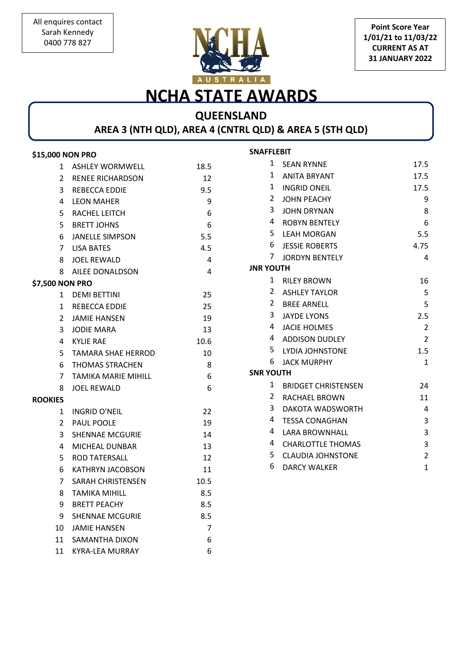

**Point Score Year 1/01/21 to 11/03/22 CURRENT AS AT 31 JANUARY 2022**

## **NCHA STATE AWARDS**

## **QUEENSLAND**

**AREA 3 (NTH QLD), AREA 4 (CNTRL QLD) & AREA 5 (STH QLD)** 

| \$15,000 NON PRO                |      | <b>SNAFFLEBIT</b> |                            |                         |
|---------------------------------|------|-------------------|----------------------------|-------------------------|
| 1 ASHLEY WORMWELL               | 18.5 |                   | 1 SEAN RYNNE               | 17.5                    |
| 2 RENEE RICHARDSON              | 12   | 1                 | <b>ANITA BRYANT</b>        | 17.5                    |
| REBECCA EDDIE<br>3              | 9.5  | 1                 | <b>INGRID ONEIL</b>        | 17.5                    |
| <b>LEON MAHER</b><br>4          | 9    | 2                 | <b>JOHN PEACHY</b>         | 9                       |
| RACHEL LEITCH<br>5.             | 6    | 3                 | <b>JOHN DRYNAN</b>         | 8                       |
| <b>BRETT JOHNS</b><br>5         | 6    | 4                 | <b>ROBYN BENTELY</b>       | 6                       |
| <b>JANELLE SIMPSON</b><br>6     | 5.5  | 5                 | <b>LEAH MORGAN</b>         | 5.5                     |
| <b>LISA BATES</b><br>7          | 4.5  | 6                 | <b>JESSIE ROBERTS</b>      | 4.75                    |
| JOEL REWALD<br>8                | 4    | 7.                | <b>JORDYN BENTELY</b>      | 4                       |
| AILEE DONALDSON<br>8            | 4    | <b>JNR YOUTH</b>  |                            |                         |
| \$7,500 NON PRO                 |      | 1                 | <b>RILEY BROWN</b>         | 16                      |
| 1 DEMI BETTINI                  | 25   | 2                 | <b>ASHLEY TAYLOR</b>       | 5                       |
| REBECCA EDDIE<br>1              | 25   | 2                 | <b>BREE ARNELL</b>         | 5                       |
| <b>JAMIE HANSEN</b><br>2        | 19   | 3                 | <b>JAYDE LYONS</b>         | 2.5                     |
| JODIE MARA<br>3                 | 13   | 4                 | <b>JACIE HOLMES</b>        | $\overline{\mathbf{c}}$ |
| KYLIE RAE<br>4                  | 10.6 | 4                 | <b>ADDISON DUDLEY</b>      | $\overline{2}$          |
| TAMARA SHAE HERROD<br>5         | 10   | 5                 | <b>LYDIA JOHNSTONE</b>     | 1.5                     |
| <b>THOMAS STRACHEN</b><br>6     | 8    | 6                 | <b>JACK MURPHY</b>         | 1                       |
| <b>TAMIKA MARIE MIHILL</b><br>7 | 6    | <b>SNR YOUTH</b>  |                            |                         |
| <b>JOEL REWALD</b><br>8         | 6    | 1                 | <b>BRIDGET CHRISTENSEN</b> | 24                      |
| <b>ROOKIES</b>                  |      | 2                 | <b>RACHAEL BROWN</b>       | 11                      |
| INGRID O'NEIL<br>1              | 22   | 3                 | DAKOTA WADSWORTH           | 4                       |
| <b>PAUL POOLE</b><br>2          | 19   | 4                 | <b>TESSA CONAGHAN</b>      | 3                       |
| <b>SHENNAE MCGURIE</b><br>3     | 14   | 4                 | LARA BROWNHALL             | 3                       |
| MICHEAL DUNBAR<br>4             | 13   | 4                 | <b>CHARLOTTLE THOMAS</b>   | 3                       |
| <b>ROD TATERSALL</b><br>5       | 12   | 5.                | <b>CLAUDIA JOHNSTONE</b>   | 2                       |
| <b>KATHRYN JACOBSON</b><br>6    | 11   | 6                 | <b>DARCY WALKER</b>        | 1                       |
| <b>SARAH CHRISTENSEN</b><br>7   | 10.5 |                   |                            |                         |
| 8<br>TAMIKA MIHILL              | 8.5  |                   |                            |                         |
| <b>BRETT PEACHY</b><br>9        | 8.5  |                   |                            |                         |
| <b>SHENNAE MCGURIE</b><br>9     | 8.5  |                   |                            |                         |
| <b>JAMIE HANSEN</b><br>10       | 7    |                   |                            |                         |
| <b>SAMANTHA DIXON</b><br>11     | 6    |                   |                            |                         |
| 11<br><b>KYRA-LEA MURRAY</b>    | 6    |                   |                            |                         |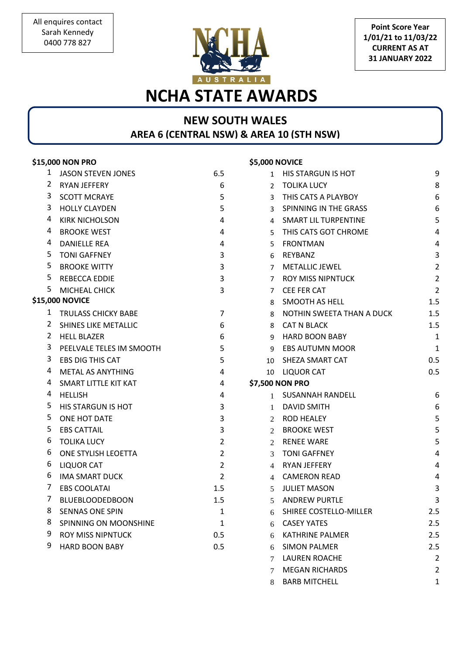

**Point Score Year 1/01/21 to 11/03/22 CURRENT AS AT 31 JANUARY 2022**

# **NCHA STATE AWARDS**

#### **NEW SOUTH WALES AREA 6 (CENTRAL NSW) & AREA 10 (STH NSW)**

|    | \$15,000 NON PRO            |                | \$5,000 NOVICE |                             |                   |
|----|-----------------------------|----------------|----------------|-----------------------------|-------------------|
| 1  | <b>JASON STEVEN JONES</b>   | 6.5            | 1              | HIS STARGUN IS HOT          | 9                 |
| 2  | RYAN JEFFERY                | 6              | 2              | <b>TOLIKA LUCY</b>          | 8                 |
| 3  | <b>SCOTT MCRAYE</b>         | 5              | 3              | THIS CATS A PLAYBOY         | $\boldsymbol{6}$  |
| 3  | <b>HOLLY CLAYDEN</b>        | 5              | 3              | SPINNING IN THE GRASS       | $\boldsymbol{6}$  |
| 4  | <b>KIRK NICHOLSON</b>       | 4              | 4              | <b>SMART LIL TURPENTINE</b> | 5                 |
| 4  | <b>BROOKE WEST</b>          | 4              | 5              | THIS CATS GOT CHROME        | 4                 |
| 4  | <b>DANIELLE REA</b>         | 4              | 5              | <b>FRONTMAN</b>             | 4                 |
| 5. | <b>TONI GAFFNEY</b>         | 3              | 6              | REYBANZ                     | $\mathsf{3}$      |
| 5  | <b>BROOKE WITTY</b>         | 3              | 7              | <b>METALLIC JEWEL</b>       | $\overline{2}$    |
| 5. | <b>REBECCA EDDIE</b>        | 3              | 7              | <b>ROY MISS NIPNTUCK</b>    | $\overline{2}$    |
| 5  | MICHEAL CHICK               | 3              | 7              | CEE FER CAT                 | $\overline{2}$    |
|    | \$15,000 NOVICE             |                | 8              | SMOOTH AS HELL              | 1.5               |
| 1  | <b>TRULASS CHICKY BABE</b>  | 7              | 8              | NOTHIN SWEETA THAN A DUCK   | 1.5               |
| 2  | <b>SHINES LIKE METALLIC</b> | 6              | 8              | <b>CAT N BLACK</b>          | 1.5               |
| 2  | <b>HELL BLAZER</b>          | 6              | 9              | <b>HARD BOON BABY</b>       | 1                 |
| 3  | PEELVALE TELES IM SMOOTH    | 5              | 9              | <b>EBS AUTUMN MOOR</b>      | $\mathbf{1}$      |
| 3  | <b>EBS DIG THIS CAT</b>     | 5              | 10             | SHEZA SMART CAT             | 0.5               |
| 4  | METAL AS ANYTHING           | 4              | 10             | <b>LIQUOR CAT</b>           | 0.5               |
| 4  | SMART LITTLE KIT KAT        | 4              |                | \$7,500 NON PRO             |                   |
| 4  | <b>HELLISH</b>              | 4              |                | SUSANNAH RANDELL            | 6                 |
| 5  | HIS STARGUN IS HOT          | 3              | 1              | <b>DAVID SMITH</b>          | 6                 |
| 5  | ONE HOT DATE                | 3              | 2              | <b>ROD HEALEY</b>           | 5                 |
| 5  | <b>EBS CATTAIL</b>          | 3              | 2              | <b>BROOKE WEST</b>          | 5                 |
| 6  | <b>TOLIKA LUCY</b>          | $\overline{2}$ | $\mathcal{L}$  | <b>RENEE WARE</b>           | 5                 |
| 6  | ONE STYLISH LEOETTA         | $\overline{2}$ | 3              | <b>TONI GAFFNEY</b>         | 4                 |
| 6  | <b>LIQUOR CAT</b>           | $\overline{2}$ | 4              | <b>RYAN JEFFERY</b>         | $\overline{4}$    |
| 6  | <b>IMA SMART DUCK</b>       | $\overline{2}$ | 4              | <b>CAMERON READ</b>         | 4                 |
| 7  | <b>EBS COOLATAI</b>         | 1.5            | 5              | <b>JULIET MASON</b>         | 3                 |
| 7  | <b>BLUEBLOODEDBOON</b>      | 1.5            | 5              | <b>ANDREW PURTLE</b>        | 3                 |
| 8  | <b>SENNAS ONE SPIN</b>      | 1              | 6              | SHIREE COSTELLO-MILLER      | 2.5               |
| 8  | SPINNING ON MOONSHINE       | 1              | 6              | <b>CASEY YATES</b>          | 2.5               |
| 9  | <b>ROY MISS NIPNTUCK</b>    | 0.5            | 6              | <b>KATHRINE PALMER</b>      | 2.5               |
| 9  | <b>HARD BOON BABY</b>       | 0.5            | 6              | <b>SIMON PALMER</b>         | 2.5               |
|    |                             |                | 7              | <b>LAUREN ROACHE</b>        | $\overline{2}$    |
|    |                             |                |                | 1001110111000               | $\mathbf{\Omega}$ |

 MEGAN RICHARDS 2 8 BARB MITCHELL 1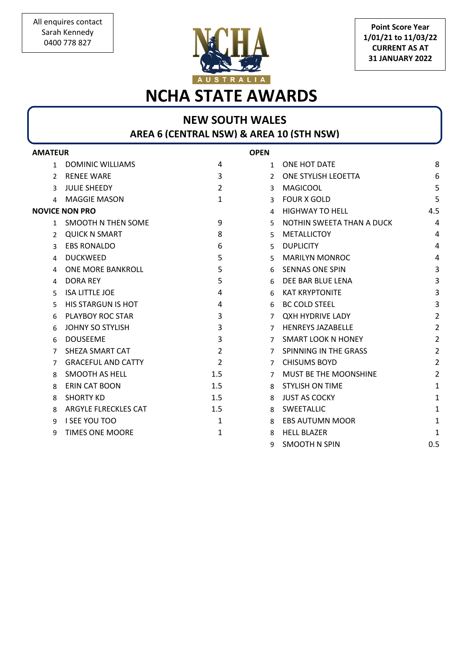

**Point Score Year 1/01/21 to 11/03/22 CURRENT AS AT 31 JANUARY 2022**

# **NCHA STATE AWARDS**

## **NEW SOUTH WALES AREA 6 (CENTRAL NSW) & AREA 10 (STH NSW)**

| <b>AMATEUR</b> |                           |                | <b>OPEN</b>    |                           |                |
|----------------|---------------------------|----------------|----------------|---------------------------|----------------|
| 1              | DOMINIC WILLIAMS          | 4              | $\mathbf{1}$   | ONE HOT DATE              | 8              |
| $\mathcal{P}$  | RENEE WARE                | 3              | $\mathcal{L}$  | ONE STYLISH LEOETTA       | 6              |
| 3              | <b>JULIE SHEEDY</b>       | $\overline{2}$ | 3              | <b>MAGICOOL</b>           | 5              |
| 4              | MAGGIE MASON              | 1              | 3              | <b>FOUR X GOLD</b>        | 5              |
|                | <b>NOVICE NON PRO</b>     |                | 4              | <b>HIGHWAY TO HELL</b>    | 4.5            |
| 1              | SMOOTH N THEN SOME        | 9              | 5              | NOTHIN SWEETA THAN A DUCK | 4              |
| $\mathcal{P}$  | <b>QUICK N SMART</b>      | 8              | 5              | <b>METALLICTOY</b>        | 4              |
| 3              | <b>EBS RONALDO</b>        | 6              | 5              | <b>DUPLICITY</b>          | 4              |
| 4              | <b>DUCKWEED</b>           | 5              | 5              | <b>MARILYN MONROC</b>     | 4              |
| 4              | ONE MORE BANKROLL         | 5              | 6              | <b>SENNAS ONE SPIN</b>    | $\overline{3}$ |
| 4              | <b>DORA REY</b>           | 5              | 6              | DEE BAR BLUE LENA         | $\overline{3}$ |
| 5              | <b>ISA LITTLE JOE</b>     | 4              | 6              | <b>KAT KRYPTONITE</b>     | 3              |
| 5              | <b>HIS STARGUN IS HOT</b> | 4              | 6              | <b>BC COLD STEEL</b>      | 3              |
| 6              | PLAYBOY ROC STAR          | 3              | $\overline{7}$ | <b>QXH HYDRIVE LADY</b>   | $\overline{2}$ |
| 6              | <b>JOHNY SO STYLISH</b>   | 3              | 7              | <b>HENREYS JAZABELLE</b>  | $\overline{2}$ |
| 6              | <b>DOUSEEME</b>           | 3              | $\overline{7}$ | <b>SMART LOOK N HONEY</b> | 2              |
| 7              | SHEZA SMART CAT           | $\overline{2}$ | $\overline{7}$ | SPINNING IN THE GRASS     | $\overline{2}$ |
| 7              | <b>GRACEFUL AND CATTY</b> | $\overline{2}$ | $\overline{7}$ | <b>CHISUMS BOYD</b>       | $\overline{2}$ |
| 8              | <b>SMOOTH AS HELL</b>     | 1.5            | 7              | MUST BE THE MOONSHINE     | $\overline{2}$ |
| 8              | <b>ERIN CAT BOON</b>      | 1.5            | 8              | <b>STYLISH ON TIME</b>    | $\mathbf{1}$   |
| 8              | <b>SHORTY KD</b>          | 1.5            | 8              | <b>JUST AS COCKY</b>      | 1              |
| 8              | ARGYLE FLRECKLES CAT      | 1.5            | 8              | SWEETALLIC                | 1              |
| 9              | <b>I SEE YOU TOO</b>      | 1              | 8              | <b>EBS AUTUMN MOOR</b>    | 1              |
| 9              | <b>TIMES ONE MOORE</b>    | 1              | 8              | <b>HELL BLAZER</b>        | 1              |
|                |                           |                | 9              | <b>SMOOTH N SPIN</b>      | 0.5            |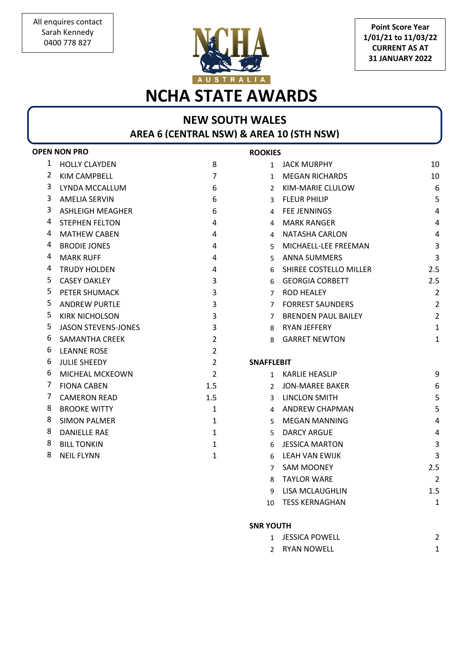

**Point Score Year 1/01/21 to 11/03/22 CURRENT AS AT 31 JANUARY 2022**

# **NCHA STATE AWARDS**

### **NEW SOUTH WALES AREA 6 (CENTRAL NSW) & AREA 10 (STH NSW)**

|   | <b>OPEN NON PRO</b>        |                | <b>ROOKIES</b>    |                            |                         |
|---|----------------------------|----------------|-------------------|----------------------------|-------------------------|
| 1 | <b>HOLLY CLAYDEN</b>       | 8              |                   | 1 JACK MURPHY              | 10                      |
| 2 | <b>KIM CAMPBELL</b>        | $\overline{7}$ | $\mathbf{1}$      | <b>MEGAN RICHARDS</b>      | 10                      |
| 3 | LYNDA MCCALLUM             | 6              | $\mathcal{L}$     | KIM-MARIE CLULOW           | 6                       |
| 3 | <b>AMELIA SERVIN</b>       | 6              | 3                 | <b>FLEUR PHILIP</b>        | 5                       |
| 3 | <b>ASHLEIGH MEAGHER</b>    | 6              | 4                 | <b>FEE JENNINGS</b>        | $\overline{4}$          |
| 4 | <b>STEPHEN FELTON</b>      | 4              | 4                 | <b>MARK RANGER</b>         | $\overline{4}$          |
| 4 | <b>MATHEW CABEN</b>        | 4              | 4                 | NATASHA CARLON             | $\overline{4}$          |
| 4 | <b>BRODIE JONES</b>        | 4              | 5.                | MICHAELL-LEE FREEMAN       | $\mathbf{3}$            |
| 4 | <b>MARK RUFF</b>           | 4              | 5.                | <b>ANNA SUMMERS</b>        | $\overline{3}$          |
| 4 | <b>TRUDY HOLDEN</b>        | 4              | 6                 | SHIREE COSTELLO MILLER     | 2.5                     |
| 5 | <b>CASEY OAKLEY</b>        | 3              | 6                 | <b>GEORGIA CORBETT</b>     | 2.5                     |
| 5 | PETER SHUMACK              | 3              | 7                 | <b>ROD HEALEY</b>          | $\overline{2}$          |
| 5 | <b>ANDREW PURTLE</b>       | 3              | 7                 | <b>FORREST SAUNDERS</b>    | $\overline{2}$          |
| 5 | <b>KIRK NICHOLSON</b>      | 3              | 7                 | <b>BRENDEN PAUL BAILEY</b> | $\overline{2}$          |
| 5 | <b>JASON STEVENS-JONES</b> | 3              | 8                 | RYAN JEFFERY               | $\mathbf{1}$            |
| 6 | <b>SAMANTHA CREEK</b>      | $\overline{2}$ | 8                 | <b>GARRET NEWTON</b>       | $\mathbf{1}$            |
| 6 | <b>LEANNE ROSE</b>         | $\overline{2}$ |                   |                            |                         |
| 6 | <b>JULIE SHEEDY</b>        | $\overline{2}$ | <b>SNAFFLEBIT</b> |                            |                         |
| 6 | MICHEAL MCKEOWN            | $\overline{2}$ | $\mathbf{1}$      | KARLIE HEASLIP             | 9                       |
| 7 | <b>FIONA CABEN</b>         | 1.5            |                   | 2 JON-MAREE BAKER          | 6                       |
| 7 | <b>CAMERON READ</b>        | 1.5            | 3                 | <b>LINCLON SMITH</b>       | 5                       |
| 8 | <b>BROOKE WITTY</b>        | 1              | 4                 | <b>ANDREW CHAPMAN</b>      | 5                       |
| 8 | <b>SIMON PALMER</b>        | 1              | 5.                | <b>MEGAN MANNING</b>       | $\overline{\mathbf{4}}$ |
| 8 | <b>DANIELLE RAE</b>        | 1              | 5                 | <b>DARCY ARGUE</b>         | $\overline{4}$          |
| 8 | <b>BILL TONKIN</b>         | 1              | 6                 | <b>JESSICA MARTON</b>      | $\overline{3}$          |
| 8 | <b>NEIL FLYNN</b>          | 1              | 6                 | LEAH VAN EWIJK             | $\overline{3}$          |
|   |                            |                | 7                 | <b>SAM MOONEY</b>          | 2.5                     |
|   |                            |                | 8                 | <b>TAYLOR WARE</b>         | $\overline{2}$          |

#### **SNR YOUTH**

9 LISA MCLAUGHLIN 1.5 10 TESS KERNAGHAN 1

2 RYAN NOWELL 1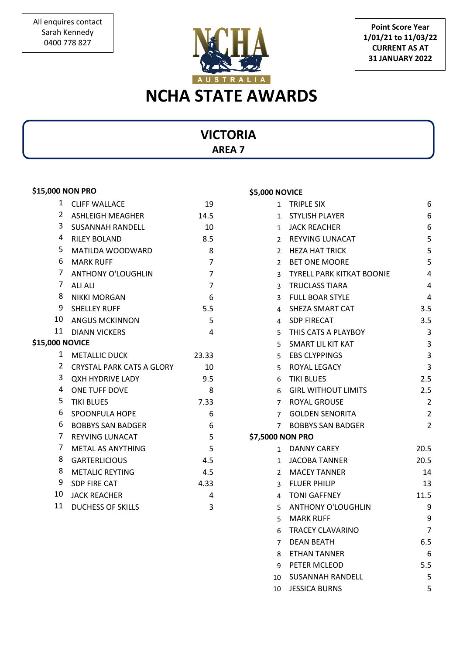

**Point Score Year 1/01/21 to 11/03/22 CURRENT AS AT 31 JANUARY 2022**

### **VICTORIA AREA 7**

#### **\$15,000 NON PRO**

| 1                      | <b>CLIFF WALLACE</b>             | 19             |
|------------------------|----------------------------------|----------------|
| 2                      | <b>ASHLEIGH MEAGHER</b>          | 14.5           |
| 3                      | <b>SUSANNAH RANDELL</b>          | 10             |
| 4                      | <b>RILEY BOLAND</b>              | 8.5            |
| 5                      | <b>MATILDA WOODWARD</b>          | 8              |
| 6                      | <b>MARK RUFF</b>                 | $\overline{7}$ |
| $\overline{7}$         | <b>ANTHONY O'LOUGHLIN</b>        | $\overline{7}$ |
| 7                      | ALI ALI                          | $\overline{7}$ |
| 8                      | <b>NIKKI MORGAN</b>              | 6              |
|                        | 9 SHELLEY RUFF                   | 5.5            |
|                        | 10 ANGUS MCKINNON                | 5              |
| 11                     | <b>DIANN VICKERS</b>             | 4              |
| <b>\$15,000 NOVICE</b> |                                  |                |
| $1 \quad$              | <b>METALLIC DUCK</b>             | 23.33          |
| 2                      | <b>CRYSTAL PARK CATS A GLORY</b> | 10             |
| 3                      | <b>QXH HYDRIVE LADY</b>          | 9.5            |
| 4                      | <b>ONE TUFF DOVE</b>             | 8              |
| 5                      | <b>TIKI BLUES</b>                | 7.33           |
| 6                      | <b>SPOONFULA HOPE</b>            | 6              |
| 6                      | <b>BOBBYS SAN BADGER</b>         | 6              |
| 7                      | <b>REYVING LUNACAT</b>           | 5              |
| 7                      | <b>METAL AS ANYTHING</b>         | 5              |
| 8                      | <b>GARTERLICIOUS</b>             | 4.5            |
| 8                      | <b>METALIC REYTING</b>           | 4.5            |
| 9                      | <b>SDP FIRE CAT</b>              | 4.33           |
| $10-10$                | <b>JACK REACHER</b>              | 4              |
| 11                     | <b>DUCHESS OF SKILLS</b>         | 3              |

#### 1 TRIPLE SIX 6 1 STYLISH PLAYER 6 1 JACK REACHER 6 2 REYVING LUNACAT 5 2 HEZA HAT TRICK 5 2 BET ONE MOORE 5 3 TYRELL PARK KITKAT BOONIE 4 3 TRUCLASS TIARA 4 3 FULL BOAR STYLE 4 4 SHEZA SMART CAT 3.5 4 SDP FIRECAT 3.5 5 THIS CATS A PLAYBOY 3 5 SMART LIL KIT KAT 3 5 EBS CLYPPINGS 3 5 ROYAL LEGACY 3 6 TIKI BLUES 2.5 6 GIRL WITHOUT LIMITS 2.5 7 ROYAL GROUSE 2 7 GOLDEN SENORITA 2 7 BOBBYS SAN BADGER 2 **\$7,5000 NON PRO** 1 DANNY CAREY 20.5 1 JACOBA TANNER 20.5 2 MACEY TANNER 14 3 FLUER PHILIP 13 4 TONI GAFFNEY 11.5 5 ANTHONY O'LOUGHLIN 9 5 MARK RUFF 9 6 TRACEY CLAVARINO 7 7 DEAN BEATH 6.5 8 ETHAN TANNER 6 9 PETER MCLEOD 5.5

10 SUSANNAH RANDELL 5 10 JESSICA BURNS 5

#### **\$5,000 NOVICE**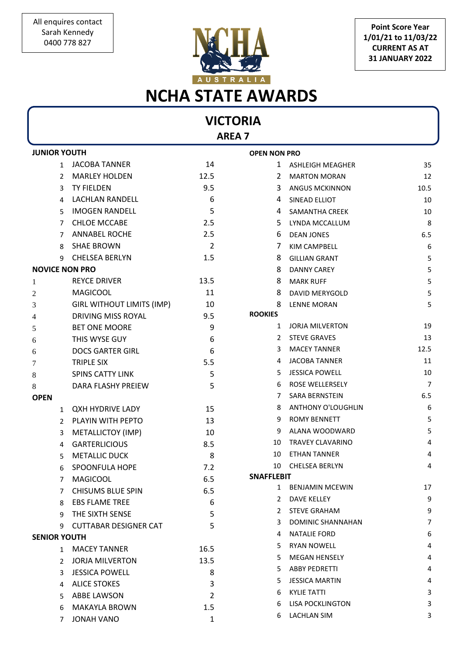

**Point Score Year 1/01/21 to 11/03/22 CURRENT AS AT 31 JANUARY 2022**

# **NCHA STATE AWARDS**

## **VICTORIA**

**AREA 7**

| <b>JUNIOR YOUTH</b> |                                  | <b>OPEN NON PRO</b> |                   |                           |                |
|---------------------|----------------------------------|---------------------|-------------------|---------------------------|----------------|
| $\mathbf{1}$        | JACOBA TANNER                    | 14                  | 1                 | ASHLEIGH MEAGHER          | 35             |
| 2                   | <b>MARLEY HOLDEN</b>             | 12.5                | 2                 | <b>MARTON MORAN</b>       | 12             |
| 3                   | <b>TY FIELDEN</b>                | 9.5                 | 3                 | <b>ANGUS MCKINNON</b>     | 10.5           |
| 4                   | LACHLAN RANDELL                  | 6                   | 4                 | SINEAD ELLIOT             | 10             |
| 5                   | <b>IMOGEN RANDELL</b>            | 5                   | 4                 | <b>SAMANTHA CREEK</b>     | 10             |
| 7                   | <b>CHLOE MCCABE</b>              | 2.5                 | 5                 | LYNDA MCCALLUM            | 8              |
| 7                   | <b>ANNABEL ROCHE</b>             | 2.5                 | 6                 | <b>DEAN JONES</b>         | 6.5            |
| 8                   | <b>SHAE BROWN</b>                | $\overline{2}$      | 7                 | KIM CAMPBELL              | 6              |
| 9                   | <b>CHELSEA BERLYN</b>            | 1.5                 | 8                 | <b>GILLIAN GRANT</b>      | 5              |
|                     | <b>NOVICE NON PRO</b>            |                     | 8                 | <b>DANNY CAREY</b>        | 5              |
| 1                   | <b>REYCE DRIVER</b>              | 13.5                | 8                 | <b>MARK RUFF</b>          | 5              |
| 2                   | <b>MAGICOOL</b>                  | 11                  | 8                 | DAVID MERYGOLD            | $\mathsf S$    |
| 3                   | <b>GIRL WITHOUT LIMITS (IMP)</b> | 10                  | 8                 | <b>LENNE MORAN</b>        | 5              |
| 4                   | DRIVING MISS ROYAL               | 9.5                 | <b>ROOKIES</b>    |                           |                |
| 5                   | <b>BET ONE MOORE</b>             | 9                   | 1                 | <b>JORJA MILVERTON</b>    | 19             |
| 6                   | THIS WYSE GUY                    | 6                   | 2                 | <b>STEVE GRAVES</b>       | 13             |
| 6                   | <b>DOCS GARTER GIRL</b>          | 6                   | 3                 | <b>MACEY TANNER</b>       | 12.5           |
| 7                   | <b>TRIPLE SIX</b>                | 5.5                 | 4                 | <b>JACOBA TANNER</b>      | 11             |
| 8                   | <b>SPINS CATTY LINK</b>          | 5                   | 5                 | <b>JESSICA POWELL</b>     | 10             |
| 8                   | DARA FLASHY PREIEW               | 5                   | 6                 | ROSE WELLERSELY           | $\overline{7}$ |
| <b>OPEN</b>         |                                  |                     | 7                 | SARA BERNSTEIN            | 6.5            |
| $\mathbf{1}$        | <b>QXH HYDRIVE LADY</b>          | 15                  | 8                 | <b>ANTHONY O'LOUGHLIN</b> | 6              |
| 2                   | PLAYIN WITH PEPTO                | 13                  | 9                 | <b>ROMY BENNETT</b>       | 5              |
| 3                   | METALLICTOY (IMP)                | 10                  | 9                 | ALANA WOODWARD            | 5              |
| 4                   | <b>GARTERLICIOUS</b>             | 8.5                 | 10                | <b>TRAVEY CLAVARINO</b>   | $\overline{4}$ |
| 5                   | <b>METALLIC DUCK</b>             | 8                   | 10                | <b>ETHAN TANNER</b>       | 4              |
| 6                   | SPOONFULA HOPE                   | 7.2                 | 10                | <b>CHELSEA BERLYN</b>     | 4              |
| 7                   | <b>MAGICOOL</b>                  | 6.5                 | <b>SNAFFLEBIT</b> |                           |                |
| 7                   | <b>CHISUMS BLUE SPIN</b>         | 6.5                 | 1                 | <b>BENJAMIN MCEWIN</b>    | 17             |
| 8                   | <b>EBS FLAME TREE</b>            | 6                   | 2                 | <b>DAVE KELLEY</b>        | 9              |
| 9                   | THE SIXTH SENSE                  | 5                   | 2                 | <b>STEVE GRAHAM</b>       | 9              |
| 9                   | <b>CUTTABAR DESIGNER CAT</b>     | 5                   | 3                 | DOMINIC SHANNAHAN         | 7              |
| <b>SENIOR YOUTH</b> |                                  |                     | 4                 | <b>NATALIE FORD</b>       | 6              |
|                     | 1 MACEY TANNER                   | 16.5                | 5.                | <b>RYAN NOWELL</b>        | 4              |
| 2                   | <b>JORJA MILVERTON</b>           | 13.5                | 5                 | <b>MEGAN HENSELY</b>      | 4              |
| 3                   | <b>JESSICA POWELL</b>            | 8                   | 5.                | <b>ABBY PEDRETTI</b>      | 4              |
| 4                   | <b>ALICE STOKES</b>              | 3                   | 5                 | <b>JESSICA MARTIN</b>     | 4              |
| 5.                  | ABBE LAWSON                      | 2                   | 6                 | <b>KYLIE TATTI</b>        | 3              |
| 6                   | <b>MAKAYLA BROWN</b>             | 1.5                 | 6                 | <b>LISA POCKLINGTON</b>   | 3              |
| 7                   | <b>JONAH VANO</b>                | 1                   | 6                 | <b>LACHLAN SIM</b>        | 3              |